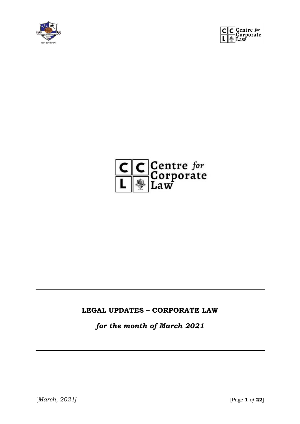





#### **LEGAL UPDATES – CORPORATE LAW**

*for the month of March 2021*

[*March, 2021]* [Page **1** *of* **22]**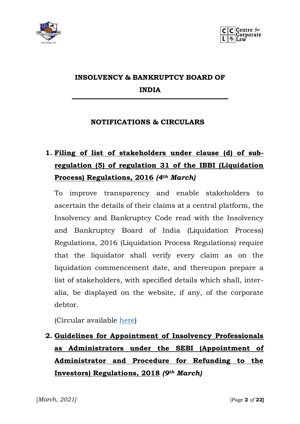



## **INSOLVENCY & BANKRUPTCY BOARD OF INDIA**

#### **NOTIFICATIONS & CIRCULARS**

# **1. Filing of list of stakeholders under clause (d) of subregulation (5) of regulation 31 of the IBBI (Liquidation Process) Regulations, 2016** *(4th March)*

To improve transparency and enable stakeholders to ascertain the details of their claims at a central platform, the Insolvency and Bankruptcy Code read with the Insolvency and Bankruptcy Board of India (Liquidation Process) Regulations, 2016 (Liquidation Process Regulations) require that the liquidator shall verify every claim as on the liquidation commencement date, and thereupon prepare a list of stakeholders, with specified details which shall, interalia, be displayed on the website, if any, of the corporate debtor.

(Circular available [here\)](https://ibbi.gov.in/uploads/legalframwork/5457f159db9f13f9b59e818fe08e3de9.pdf)

# **2. Guidelines for Appointment of Insolvency Professionals as Administrators under the SEBI (Appointment of Administrator and Procedure for Refunding to the Investors) Regulations, 2018** *(9th March)*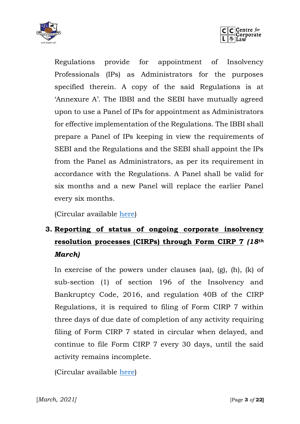



Regulations provide for appointment of Insolvency Professionals (IPs) as Administrators for the purposes specified therein. A copy of the said Regulations is at 'Annexure A'. The IBBI and the SEBI have mutually agreed upon to use a Panel of IPs for appointment as Administrators for effective implementation of the Regulations. The IBBI shall prepare a Panel of IPs keeping in view the requirements of SEBI and the Regulations and the SEBI shall appoint the IPs from the Panel as Administrators, as per its requirement in accordance with the Regulations. A Panel shall be valid for six months and a new Panel will replace the earlier Panel every six months.

(Circular available [here\)](https://ibbi.gov.in/uploads/legalframwork/9642e8fe2457fb437fc7b754ed60b8b2.pdf)

## **3. Reporting of status of ongoing corporate insolvency resolution processes (CIRPs) through Form CIRP 7** *(18th March)*

In exercise of the powers under clauses (aa), (g), (h), (k) of sub-section (1) of section 196 of the Insolvency and Bankruptcy Code, 2016, and regulation 40B of the CIRP Regulations, it is required to filing of Form CIRP 7 within three days of due date of completion of any activity requiring filing of Form CIRP 7 stated in circular when delayed, and continue to file Form CIRP 7 every 30 days, until the said activity remains incomplete.

(Circular available [here\)](https://ibbi.gov.in/uploads/legalframwork/a763e90e0d3702df78bd15e5947c44fb.pdf)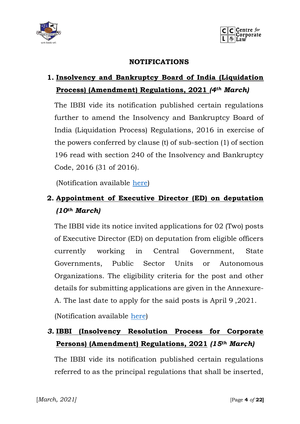



#### **NOTIFICATIONS**

### **1. Insolvency and Bankruptcy Board of India (Liquidation Process) (Amendment) Regulations, 2021** *(4th March)*

The IBBI vide its notification published certain regulations further to amend the Insolvency and Bankruptcy Board of India (Liquidation Process) Regulations, 2016 in exercise of the powers conferred by clause (t) of sub-section (1) of section 196 read with section 240 of the Insolvency and Bankruptcy Code, 2016 (31 of 2016).

(Notification available [here\)](https://ibbi.gov.in/uploads/legalframwork/2a0408cf690dc73b21a2faa8805281fe.pdf)

### **2. Appointment of Executive Director (ED) on deputation** *(10th March)*

The IBBI vide its notice invited applications for 02 (Two) posts of Executive Director (ED) on deputation from eligible officers currently working in Central Government, State Governments, Public Sector Units or Autonomous Organizations. The eligibility criteria for the post and other details for submitting applications are given in the Annexure-A. The last date to apply for the said posts is April 9 ,2021.

(Notification available [here\)](https://ibbi.gov.in/uploads/whatsnew/7c54a8b539e9913d2de77cbe7aa55cc2.pdf)

### *3.* **IBBI (Insolvency Resolution Process for Corporate Persons) (Amendment) Regulations, 2021** *(15th March)*

The IBBI vide its notification published certain regulations referred to as the principal regulations that shall be inserted,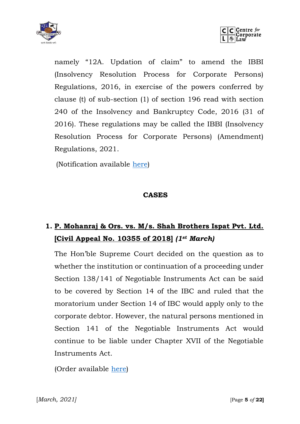



namely "12A. Updation of claim" to amend the IBBI (Insolvency Resolution Process for Corporate Persons) Regulations, 2016, in exercise of the powers conferred by clause (t) of sub-section (1) of section 196 read with section 240 of the Insolvency and Bankruptcy Code, 2016 (31 of 2016). These regulations may be called the IBBI (Insolvency Resolution Process for Corporate Persons) (Amendment) Regulations, 2021.

(Notification available [here\)](https://ibbi.gov.in/uploads/legalframwork/32795d31dcbe1c6f81318044a753bd71.pdf)

#### **CASES**

## **1. P. Mohanraj & Ors. vs. M/s. Shah Brothers Ispat Pvt. Ltd. [Civil Appeal No. 10355 of 2018]** *(1st March)*

The Hon'ble Supreme Court decided on the question as to whether the institution or continuation of a proceeding under Section 138/141 of Negotiable Instruments Act can be said to be covered by Section 14 of the IBC and ruled that the moratorium under Section 14 of IBC would apply only to the corporate debtor. However, the natural persons mentioned in Section 141 of the Negotiable Instruments Act would continue to be liable under Chapter XVII of the Negotiable Instruments Act.

(Order available [here\)](https://ibbi.gov.in/uploads/order/4fd82b27266f68ac4065537fc1474029.pdf)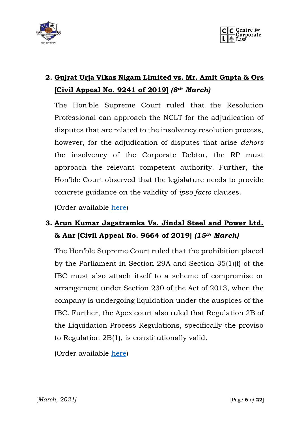



## **2. Gujrat Urja Vikas Nigam Limited vs. Mr. Amit Gupta & Ors [Civil Appeal No. 9241 of 2019]** *(8th March)*

The Hon'ble Supreme Court ruled that the Resolution Professional can approach the NCLT for the adjudication of disputes that are related to the insolvency resolution process, however, for the adjudication of disputes that arise *dehors* the insolvency of the Corporate Debtor, the RP must approach the relevant competent authority. Further, the Hon'ble Court observed that the legislature needs to provide concrete guidance on the validity of *ipso facto* clauses.

(Order available [here\)](https://ibbi.gov.in/uploads/order/79e3093d3be5f907a06411924f0a6b62.pdf)

## **3. Arun Kumar Jagatramka Vs. Jindal Steel and Power Ltd. & Anr [Civil Appeal No. 9664 of 2019]** *(15th March)*

The Hon'ble Supreme Court ruled that the prohibition placed by the Parliament in Section 29A and Section 35(1)(f) of the IBC must also attach itself to a scheme of compromise or arrangement under Section 230 of the Act of 2013, when the company is undergoing liquidation under the auspices of the IBC. Further, the Apex court also ruled that Regulation 2B of the Liquidation Process Regulations, specifically the proviso to Regulation 2B(1), is constitutionally valid.

(Order available [here\)](https://ibbi.gov.in/uploads/order/8b20adae7a37b302f30a02b3aa64ae91.pdf)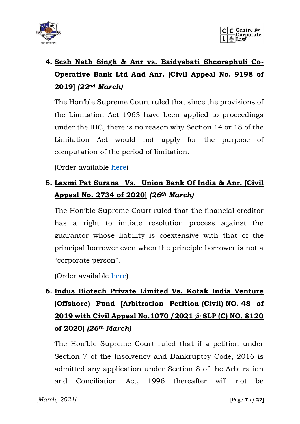



# **4. Sesh Nath Singh & Anr vs. Baidyabati Sheoraphuli Co-Operative Bank Ltd And Anr. [Civil Appeal No. 9198 of 2019]** *(22nd March)*

The Hon'ble Supreme Court ruled that since the provisions of the Limitation Act 1963 have been applied to proceedings under the IBC, there is no reason why Section 14 or 18 of the Limitation Act would not apply for the purpose of computation of the period of limitation.

(Order available [here\)](https://ibbi.gov.in/uploads/order/29e594ee74eee313c8b6c8532146c5cb.pdf)

### **5. Laxmi Pat Surana Vs. Union Bank Of India & Anr. [Civil Appeal No. 2734 of 2020]** *(26th March)*

The Hon'ble Supreme Court ruled that the financial creditor has a right to initiate resolution process against the guarantor whose liability is coextensive with that of the principal borrower even when the principle borrower is not a "corporate person".

(Order available [here\)](https://ibbi.gov.in/uploads/order/4ed4a21540b05893704433eca2efade9.pdf)

# **6. Indus Biotech Private Limited Vs. Kotak India Venture (Offshore) Fund [Arbitration Petition (Civil) NO. 48 of 2019 with Civil Appeal No.1070 /2021 @ SLP (C) NO. 8120 of 2020]** *(26th March)*

The Hon'ble Supreme Court ruled that if a petition under Section 7 of the Insolvency and Bankruptcy Code, 2016 is admitted any application under Section 8 of the Arbitration and Conciliation Act, 1996 thereafter will not be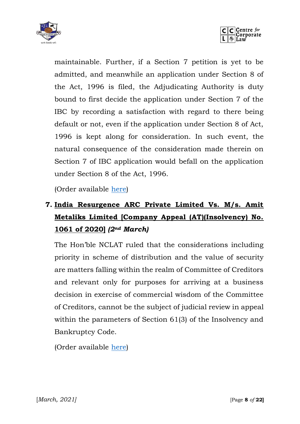



maintainable. Further, if a Section 7 petition is yet to be admitted, and meanwhile an application under Section 8 of the Act, 1996 is filed, the Adjudicating Authority is duty bound to first decide the application under Section 7 of the IBC by recording a satisfaction with regard to there being default or not, even if the application under Section 8 of Act, 1996 is kept along for consideration. In such event, the natural consequence of the consideration made therein on Section 7 of IBC application would befall on the application under Section 8 of the Act, 1996.

(Order available [here\)](https://ibbi.gov.in/uploads/order/165267b7826a9da22930afb04059e787.pdf)

# **7. India Resurgence ARC Private Limited Vs. M/s. Amit Metaliks Limited [Company Appeal (AT)(Insolvency) No. 1061 of 2020]** *(2nd March)*

The Hon'ble NCLAT ruled that the considerations including priority in scheme of distribution and the value of security are matters falling within the realm of Committee of Creditors and relevant only for purposes for arriving at a business decision in exercise of commercial wisdom of the Committee of Creditors, cannot be the subject of judicial review in appeal within the parameters of Section 61(3) of the Insolvency and Bankruptcy Code.

(Order available [here\)](file:///D:/Downloads/1568493043603e2630cc166.pdf)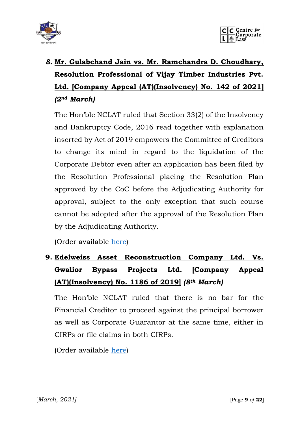



# *8.* **Mr. Gulabchand Jain vs. Mr. Ramchandra D. Choudhary, Resolution Professional of Vijay Timber Industries Pvt. Ltd. [Company Appeal (AT)(Insolvency) No. 142 of 2021]**  *(2nd March)*

The Hon'ble NCLAT ruled that Section 33(2) of the Insolvency and Bankruptcy Code, 2016 read together with explanation inserted by Act of 2019 empowers the Committee of Creditors to change its mind in regard to the liquidation of the Corporate Debtor even after an application has been filed by the Resolution Professional placing the Resolution Plan approved by the CoC before the Adjudicating Authority for approval, subject to the only exception that such course cannot be adopted after the approval of the Resolution Plan by the Adjudicating Authority.

(Order available [here\)](file:///D:/Downloads/71430524603e310bce74b.pdf)

# **9. Edelweiss Asset Reconstruction Company Ltd. Vs. Gwalior Bypass Projects Ltd. [Company Appeal (AT)(Insolvency) No. 1186 of 2019]** *(8th March)*

The Hon'ble NCLAT ruled that there is no bar for the Financial Creditor to proceed against the principal borrower as well as Corporate Guarantor at the same time, either in CIRPs or file claims in both CIRPs.

(Order available [here\)](https://nclat.nic.in/Useradmin/upload/183653136160473611db22e.pdf)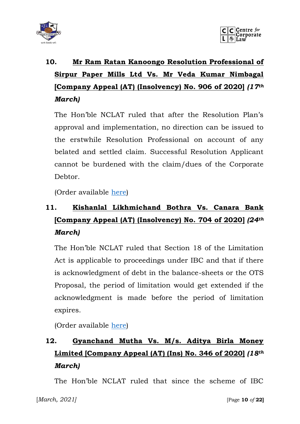



# **10. Mr Ram Ratan Kanoongo Resolution Professional of Sirpur Paper Mills Ltd Vs. Mr Veda Kumar Nimbagal [Company Appeal (AT) (Insolvency) No. 906 of 2020]** *(17th March)*

The Hon'ble NCLAT ruled that after the Resolution Plan's approval and implementation, no direction can be issued to the erstwhile Resolution Professional on account of any belated and settled claim. Successful Resolution Applicant cannot be burdened with the claim/dues of the Corporate Debtor.

(Order available [here\)](https://nclat.nic.in/Useradmin/upload/11089552856051da82c023b.pdf)

# **11. Kishanlal Likhmichand Bothra Vs. Canara Bank [Company Appeal (AT) (Insolvency) No. 704 of 2020]** *(24th March)*

The Hon'ble NCLAT ruled that Section 18 of the Limitation Act is applicable to proceedings under IBC and that if there is acknowledgment of debt in the balance-sheets or the OTS Proposal, the period of limitation would get extended if the acknowledgment is made before the period of limitation expires.

(Order available [here\)](https://nclat.nic.in/Useradmin/upload/1161117804605c755a19a19.pdf)

# **12. Gyanchand Mutha Vs. M/s. Aditya Birla Money Limited [Company Appeal (AT) (Ins) No. 346 of 2020]** *(18th March)*

The Hon'ble NCLAT ruled that since the scheme of IBC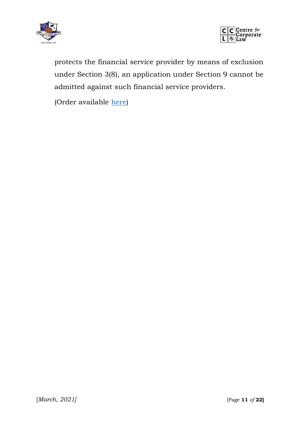



protects the financial service provider by means of exclusion under Section 3(8), an application under Section 9 cannot be admitted against such financial service providers.

(Order available [here\)](https://nclat.nic.in/Useradmin/upload/16731405496058705db4d5f.pdf)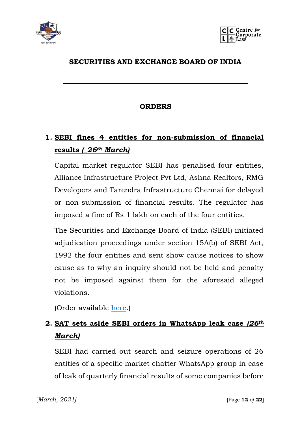



#### **SECURITIES AND EXCHANGE BOARD OF INDIA**

#### **ORDERS**

## **1. SEBI fines 4 entities for non-submission of financial results** *(\_26th March)*

Capital market regulator SEBI has penalised four entities, Alliance Infrastructure Project Pvt Ltd, Ashna Realtors, RMG Developers and Tarendra Infrastructure Chennai for delayed or non-submission of financial results. The regulator has imposed a fine of Rs 1 lakh on each of the four entities.

The Securities and Exchange Board of India (SEBI) initiated adjudication proceedings under section 15A(b) of SEBI Act, 1992 the four entities and sent show cause notices to show cause as to why an inquiry should not be held and penalty not be imposed against them for the aforesaid alleged violations.

(Order available [here.](https://www.sebi.gov.in/enforcement/orders/mar-2021/adjudication-order-in-respect-of-4-entities-in-the-matter-of-delayed-submission-non-submission-of-financial-results-for-financial-year-ended-march-31-2019_49682.html))

## **2. SAT sets aside SEBI orders in WhatsApp leak case** *(26th March)*

SEBI had carried out search and seizure operations of 26 entities of a specific market chatter WhatsApp group in case of leak of quarterly financial results of some companies before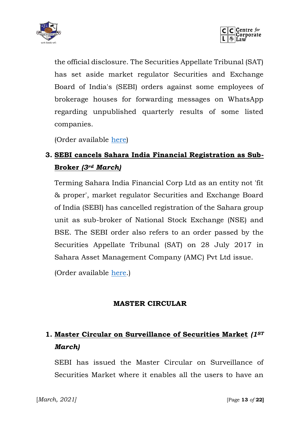



the official disclosure. The Securities Appellate Tribunal (SAT) has set aside market regulator Securities and Exchange Board of India's (SEBI) orders against some employees of brokerage houses for forwarding messages on WhatsApp regarding unpublished quarterly results of some listed companies.

(Order available [here\)](http://sat.gov.in/english/pdf/E2021_JO2020308_25.PDF)

## **3. SEBI cancels Sahara India Financial Registration as Sub-Broker** *(3rd March)*

Terming Sahara India Financial Corp Ltd as an entity not 'fit & proper', market regulator Securities and Exchange Board of India (SEBI) has cancelled registration of the Sahara group unit as sub-broker of National Stock Exchange (NSE) and BSE. The SEBI order also refers to an order passed by the Securities Appellate Tribunal (SAT) on 28 July 2017 in Sahara Asset Management Company (AMC) Pvt Ltd issue.

(Order available [here.](https://www.sebi.gov.in/enforcement/orders/mar-2021/order-in-the-matter-of-sahara-india-financial-corporation-limited_49381.html))

### **MASTER CIRCULAR**

## **1. Master Circular on Surveillance of Securities Market** *(1ST March)*

SEBI has issued the Master Circular on Surveillance of Securities Market where it enables all the users to have an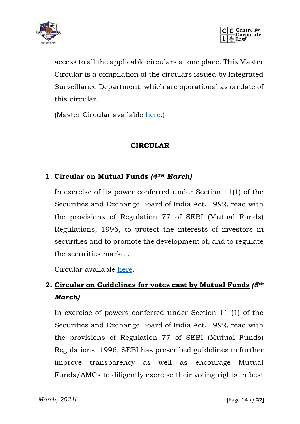



access to all the applicable circulars at one place. This Master Circular is a compilation of the circulars issued by Integrated Surveillance Department, which are operational as on date of this circular.

(Master Circular available [here.](https://www.sebi.gov.in/legal/master-circulars/mar-2021/master-circular-on-surveillance-of-securities-market_49354.html))

#### **CIRCULAR**

#### **1. Circular on Mutual Funds** *(4TH March)*

In exercise of its power conferred under Section 11(1) of the Securities and Exchange Board of India Act, 1992, read with the provisions of Regulation 77 of SEBI (Mutual Funds) Regulations, 1996, to protect the interests of investors in securities and to promote the development of, and to regulate the securities market.

Circular available [here.](https://www.sebi.gov.in/legal/circulars/mar-2021/circular-on-mutual-funds_49393.html)

## **2. Circular on Guidelines for votes cast by Mutual Funds** *(5th March)*

In exercise of powers conferred under Section 11 (1) of the Securities and Exchange Board of India Act, 1992, read with the provisions of Regulation 77 of SEBI (Mutual Funds) Regulations, 1996, SEBI has prescribed guidelines to further improve transparency as well as encourage Mutual Funds/AMCs to diligently exercise their voting rights in best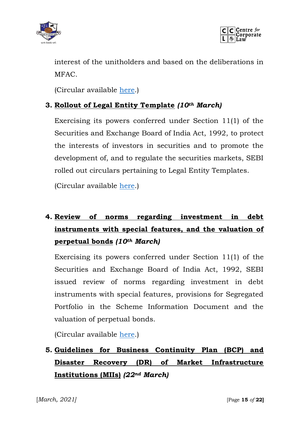



interest of the unitholders and based on the deliberations in MFAC.

(Circular available [here.](https://www.sebi.gov.in/legal/circulars/mar-2021/circular-on-guidelines-for-votes-cast-by-mutual-funds_49405.html))

#### **3. Rollout of Legal Entity Template** *(10th March)*

Exercising its powers conferred under Section 11(1) of the Securities and Exchange Board of India Act, 1992, to protect the interests of investors in securities and to promote the development of, and to regulate the securities markets, SEBI rolled out circulars pertaining to Legal Entity Templates.

(Circular available [here.](https://www.sebi.gov.in/legal/circulars/mar-2021/rollout-of-legal-entity-template_49461.html))

## **4. Review of norms regarding investment in debt instruments with special features, and the valuation of perpetual bonds** *(10th March)*

Exercising its powers conferred under Section 11(1) of the Securities and Exchange Board of India Act, 1992, SEBI issued review of norms regarding investment in debt instruments with special features, provisions for Segregated Portfolio in the Scheme Information Document and the valuation of perpetual bonds.

(Circular available [here.](https://www.sebi.gov.in/legal/circulars/mar-2021/review-of-norms-regarding-investment-in-debt-instruments-with-special-features-and-the-valuation-of-perpetual-bonds_49463.html))

## **5. Guidelines for Business Continuity Plan (BCP) and Disaster Recovery (DR) of Market Infrastructure Institutions (MIIs)** *(22nd March)*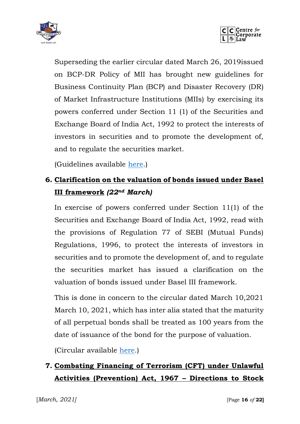



Superseding the earlier circular dated March 26, 2019issued on BCP-DR Policy of MII has brought new guidelines for Business Continuity Plan (BCP) and Disaster Recovery (DR) of Market Infrastructure Institutions (MIIs) by exercising its powers conferred under Section 11 (1) of the Securities and Exchange Board of India Act, 1992 to protect the interests of investors in securities and to promote the development of, and to regulate the securities market.

(Guidelines available [here.](https://www.sebi.gov.in/legal/circulars/mar-2021/guidelines-for-business-continuity-plan-bcp-and-disaster-recovery-dr-of-market-infrastructure-institutions-miis-_49601.html))

### **6. Clarification on the valuation of bonds issued under Basel III framework** *(22nd March)*

In exercise of powers conferred under Section 11(1) of the Securities and Exchange Board of India Act, 1992, read with the provisions of Regulation 77 of SEBI (Mutual Funds) Regulations, 1996, to protect the interests of investors in securities and to promote the development of, and to regulate the securities market has issued a clarification on the valuation of bonds issued under Basel III framework.

This is done in concern to the circular dated March 10,2021 March 10, 2021, which has inter alia stated that the maturity of all perpetual bonds shall be treated as 100 years from the date of issuance of the bond for the purpose of valuation.

(Circular available [here.](https://www.sebi.gov.in/legal/circulars/mar-2021/clarification-on-the-valuation-of-bonds-issued-under-basel-iii-framework_49604.html))

## **7. Combating Financing of Terrorism (CFT) under Unlawful Activities (Prevention) Act, 1967 – Directions to Stock**

[*March, 2021]* [Page **16** *of* **22]**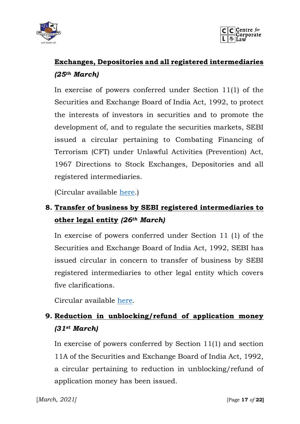



## **Exchanges, Depositories and all registered intermediaries** *(25th March)*

In exercise of powers conferred under Section 11(1) of the Securities and Exchange Board of India Act, 1992, to protect the interests of investors in securities and to promote the development of, and to regulate the securities markets, SEBI issued a circular pertaining to Combating Financing of Terrorism (CFT) under Unlawful Activities (Prevention) Act, 1967 Directions to Stock Exchanges, Depositories and all registered intermediaries.

(Circular available [here.](https://www.sebi.gov.in/legal/circulars/mar-2021/combating-financing-of-terrorism-cft-under-unlawful-activities-prevention-act-1967-directions-to-stock-exchanges-depositories-and-all-registered-intermediaries_49645.html))

## **8. Transfer of business by SEBI registered intermediaries to other legal entity** *(26th March)*

In exercise of powers conferred under Section 11 (1) of the Securities and Exchange Board of India Act, 1992, SEBI has issued circular in concern to transfer of business by SEBI registered intermediaries to other legal entity which covers five clarifications.

Circular available [here.](https://www.sebi.gov.in/legal/circulars/mar-2021/transfer-of-business-by-sebi-registered-intermediaries-to-other-legal-entity_49678.html)

## **9. Reduction in unblocking/refund of application money** *(31st March)*

In exercise of powers conferred by Section 11(1) and section 11A of the Securities and Exchange Board of India Act, 1992, a circular pertaining to reduction in unblocking/refund of application money has been issued.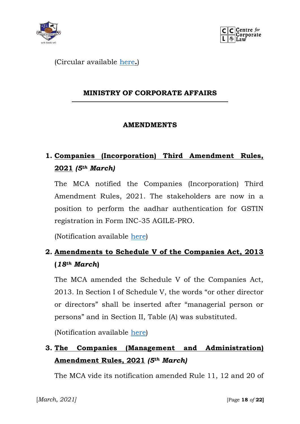



(Circular available [here](https://www.sebi.gov.in/legal/circulars/mar-2021/reduction-in-unblocking-refund-of-application-money_49722.html)**.**)

#### **MINISTRY OF CORPORATE AFFAIRS**

#### **AMENDMENTS**

## **1. Companies (Incorporation) Third Amendment Rules, 2021** *(5th March)*

The MCA notified the Companies (Incorporation) Third Amendment Rules, 2021. The stakeholders are now in a position to perform the aadhar authentication for GSTIN registration in Form INC-35 AGILE-PRO.

(Notification available [here\)](http://www.mca.gov.in/Ministry/pdf/CompaniesIncorporation3rdAmndtRules_11032021.pdf)

### **2. Amendments to Schedule V of the Companies Act, 2013 (***18th March***)**

The MCA amended the Schedule V of the Companies Act, 2013. In Section I of Schedule V, the words "or other director or directors" shall be inserted after "managerial person or persons" and in Section II, Table (A) was substituted.

(Notification available [here\)](http://www.mca.gov.in/Ministry/pdf/AmendmentNotification_19032021.pdf)

### **3. The Companies (Management and Administration) Amendment Rules, 2021** *(5th March)*

The MCA vide its notification amended Rule 11, 12 and 20 of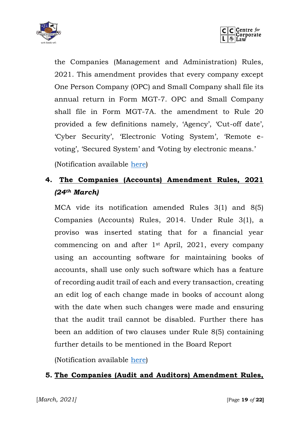



the Companies (Management and Administration) Rules, 2021. This amendment provides that every company except One Person Company (OPC) and Small Company shall file its annual return in Form MGT-7. OPC and Small Company shall file in Form MGT-7A. the amendment to Rule 20 provided a few definitions namely, 'Agency', 'Cut-off date', 'Cyber Security', 'Electronic Voting System', 'Remote evoting', 'Secured System' and 'Voting by electronic means.'

(Notification available [here\)](http://www.mca.gov.in/Ministry/pdf/CompaniesMgmtAdminAmndtRules_11032021.pdf)

### **4. The Companies (Accounts) Amendment Rules, 2021**  *(24th March)*

MCA vide its notification amended Rules 3(1) and 8(5) Companies (Accounts) Rules, 2014. Under Rule 3(1), a proviso was inserted stating that for a financial year commencing on and after 1st April, 2021, every company using an accounting software for maintaining books of accounts, shall use only such software which has a feature of recording audit trail of each and every transaction, creating an edit log of each change made in books of account along with the date when such changes were made and ensuring that the audit trail cannot be disabled. Further there has been an addition of two clauses under Rule 8(5) containing further details to be mentioned in the Board Report

(Notification available [here\)](http://www.mca.gov.in/Ministry/pdf/AccountsAmendmentRules_24032021.pdf)

#### **5. The Companies (Audit and Auditors) Amendment Rules,**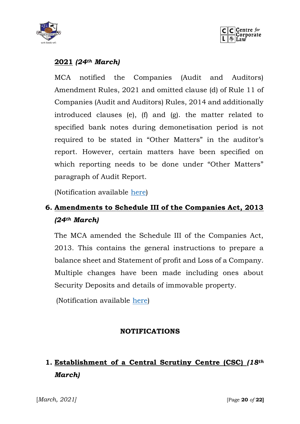



#### **2021** *(24th March)*

MCA notified the Companies (Audit and Auditors) Amendment Rules, 2021 and omitted clause (d) of Rule 11 of Companies (Audit and Auditors) Rules, 2014 and additionally introduced clauses (e), (f) and (g). the matter related to specified bank notes during demonetisation period is not required to be stated in "Other Matters" in the auditor's report. However, certain matters have been specified on which reporting needs to be done under "Other Matters" paragraph of Audit Report.

(Notification available [here\)](http://www.mca.gov.in/Ministry/pdf/AuditAuditorsAmendmentRules_24032021.pdf)

### **6. Amendments to Schedule III of the Companies Act, 2013**  *(24th March)*

The MCA amended the Schedule III of the Companies Act, 2013. This contains the general instructions to prepare a balance sheet and Statement of profit and Loss of a Company. Multiple changes have been made including ones about Security Deposits and details of immovable property.

(Notification available [here\)](http://www.mca.gov.in/Ministry/pdf/ScheduleIIIAmendmentNotification_24032021.pdf)

#### **NOTIFICATIONS**

## **1. Establishment of a Central Scrutiny Centre (CSC)** *(18th March)*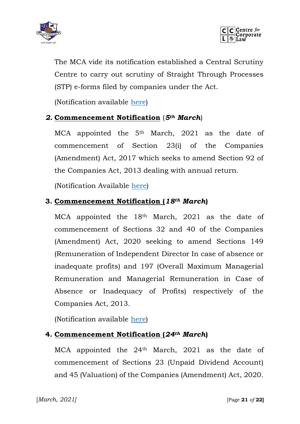



The MCA vide its notification established a Central Scrutiny Centre to carry out scrutiny of Straight Through Processes (STP) e-forms filed by companies under the Act.

(Notification available [here\)](file:///C:/Users/Administrator/Downloads/MCA-establishes-Central-Scrutiny-Centre-for-scrutiny-of-Straight-Through-Processes.pdf)

#### *2.* **Commencement Notification** (*5th March*)

MCA appointed the 5<sup>th</sup> March, 2021 as the date of commencement of Section 23(i) of the Companies (Amendment) Act, 2017 which seeks to amend Section 92 of the Companies Act, 2013 dealing with annual return.

(Notification Available [here\)](http://www.mca.gov.in/Ministry/pdf/CommencementNotification_11032021.pdf)

#### **3. Commencement Notification (***18th March***)**

MCA appointed the 18<sup>th</sup> March, 2021 as the date of commencement of Sections 32 and 40 of the Companies (Amendment) Act, 2020 seeking to amend Sections 149 (Remuneration of Independent Director In case of absence or inadequate profits) and 197 (Overall Maximum Managerial Remuneration and Managerial Remuneration in Case of Absence or Inadequacy of Profits) respectively of the Companies Act, 2013.

(Notification available [here\)](http://www.mca.gov.in/Ministry/pdf/CommencementNotification_19032021.pdf)

#### **4. Commencement Notification (***24th March***)**

MCA appointed the 24<sup>th</sup> March, 2021 as the date of commencement of Sections 23 (Unpaid Dividend Account) and 45 (Valuation) of the Companies (Amendment) Act, 2020.